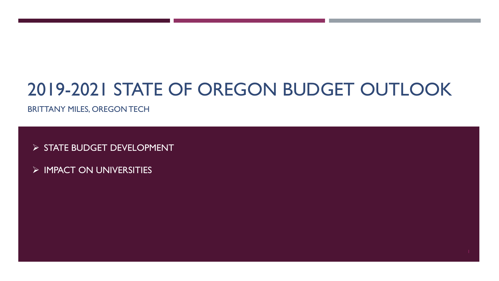### 2019-2021 STATE OF OREGON BUDGET OUTLOOK

BRITTANY MILES, OREGON TECH

> STATE BUDGET DEVELOPMENT

 $\triangleright$  IMPACT ON UNIVERSITIES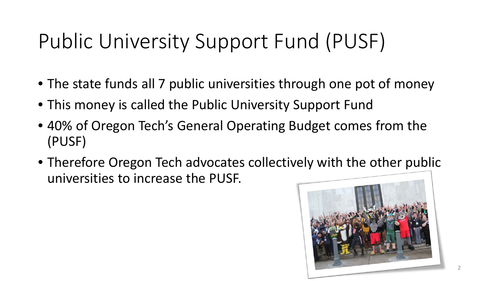# Public University Support Fund (PUSF)

- The state funds all 7 public universities through one pot of money
- This money is called the Public University Support Fund
- 40% of Oregon Tech's General Operating Budget comes from the (PUSF)
- Therefore Oregon Tech advocates collectively with the other public universities to increase the PUSF.

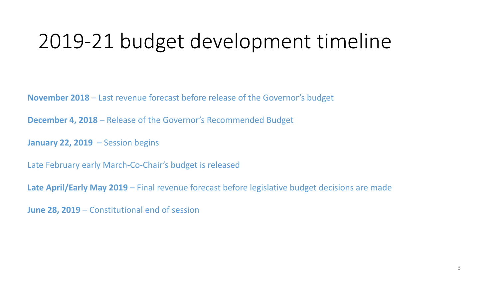### 2019-21 budget development timeline

**November 2018** – Last revenue forecast before release of the Governor's budget

**December 4, 2018** – Release of the Governor's Recommended Budget

**January 22, 2019** – Session begins

Late February early March-Co-Chair's budget is released

**Late April/Early May 2019** – Final revenue forecast before legislative budget decisions are made

**June 28, 2019** – Constitutional end of session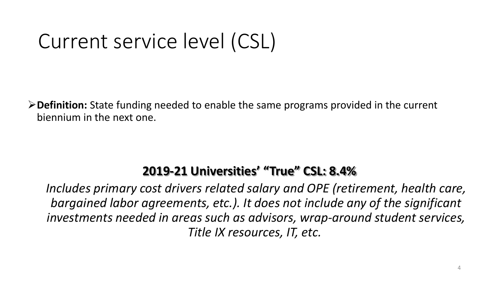## Current service level (CSL)

**Definition:** State funding needed to enable the same programs provided in the current biennium in the next one.

### **2019-21 Universities' "True" CSL: 8.4%**

*Includes primary cost drivers related salary and OPE (retirement, health care, bargained labor agreements, etc.). It does not include any of the significant investments needed in areas such as advisors, wrap-around student services, Title IX resources, IT, etc.*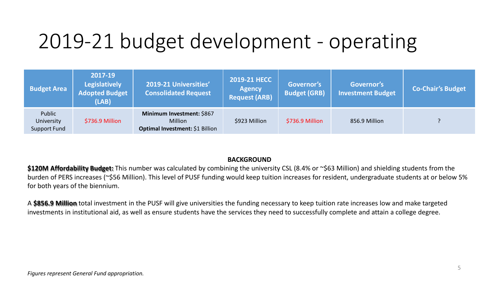### 2019-21 budget development - operating

| <b>Budget Area</b>                   | 2017-19<br><b>Legislatively</b><br><b>Adopted Budget</b><br>(LAB) | 2019-21 Universities'<br><b>Consolidated Request</b>                           | 2019-21 HECC<br><b>Agency</b><br><b>Request (ARB)</b> | Governor's<br><b>Budget (GRB)</b> | Governor's<br><b>Investment Budget</b> | <b>Co-Chair's Budget</b> |
|--------------------------------------|-------------------------------------------------------------------|--------------------------------------------------------------------------------|-------------------------------------------------------|-----------------------------------|----------------------------------------|--------------------------|
| Public<br>University<br>Support Fund | \$736.9 Million                                                   | Minimum Investment: \$867<br><b>Million</b><br>Optimal Investment: \$1 Billion | \$923 Million                                         | \$736.9 Million                   | 856.9 Million                          |                          |

#### **BACKGROUND**

\$120M Affordability Budget: This number was calculated by combining the university CSL (8.4% or ~\$63 Million) and shielding students from the burden of PERS increases (~\$56 Million). This level of PUSF funding would keep tuition increases for resident, undergraduate students at or below 5% for both years of the biennium.

A **\$856.9 Million** total investment in the PUSF will give universities the funding necessary to keep tuition rate increases low and make targeted investments in institutional aid, as well as ensure students have the services they need to successfully complete and attain a college degree.